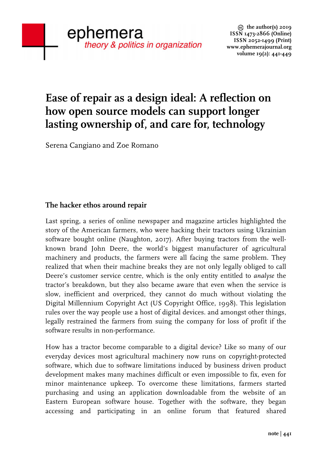# **Ease of repair as a design ideal: A reflection on how open source models can support longer lasting ownership of, and care for, technology**

Serena Cangiano and Zoe Romano

## **The hacker ethos around repair**

Last spring, a series of online newspaper and magazine articles highlighted the story of the American farmers, who were hacking their tractors using Ukrainian software bought online (Naughton, 2017). After buying tractors from the wellknown brand John Deere, the world's biggest manufacturer of agricultural machinery and products, the farmers were all facing the same problem. They realized that when their machine breaks they are not only legally obliged to call Deere's customer service centre, which is the only entity entitled to *analyse* the tractor's breakdown, but they also became aware that even when the service is slow, inefficient and overpriced, they cannot do much without violating the Digital Millennium Copyright Act (US Copyright Office, 1998). This legislation rules over the way people use a host of digital devices. and amongst other things, legally restrained the farmers from suing the company for loss of profit if the software results in non-performance.

How has a tractor become comparable to a digital device? Like so many of our everyday devices most agricultural machinery now runs on copyright-protected software, which due to software limitations induced by business driven product development makes many machines difficult or even impossible to fix, even for minor maintenance upkeep. To overcome these limitations, farmers started purchasing and using an application downloadable from the website of an Eastern European software house. Together with the software, they began accessing and participating in an online forum that featured shared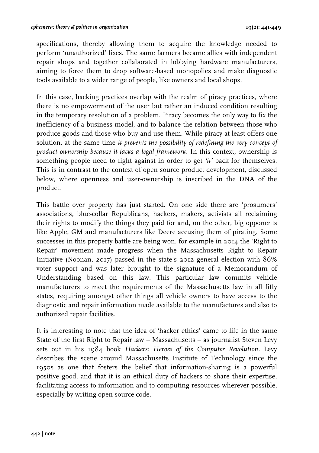specifications, thereby allowing them to acquire the knowledge needed to perform 'unauthorized' fixes. The same farmers became allies with independent repair shops and together collaborated in lobbying hardware manufacturers, aiming to force them to drop software-based monopolies and make diagnostic tools available to a wider range of people, like owners and local shops.

In this case, hacking practices overlap with the realm of piracy practices, where there is no empowerment of the user but rather an induced condition resulting in the temporary resolution of a problem. Piracy becomes the only way to fix the inefficiency of a business model, and to balance the relation between those who produce goods and those who buy and use them. While piracy at least offers one solution, at the same time *it prevents the possibility of redefining the very concept of product ownership because it lacks a legal framework*. In this context, ownership is something people need to fight against in order to get *'it'* back for themselves. This is in contrast to the context of open source product development, discussed below, where openness and user-ownership is inscribed in the DNA of the product.

This battle over property has just started. On one side there are 'prosumers' associations, blue-collar Republicans, hackers, makers, activists all reclaiming their rights to modify the things they paid for and, on the other, big opponents like Apple, GM and manufacturers like Deere accusing them of pirating. Some successes in this property battle are being won, for example in 2014 the 'Right to Repair' movement made progress when the Massachusetts Right to Repair Initiative (Noonan, 2017) passed in the state's 2012 general election with 86% voter support and was later brought to the signature of a Memorandum of Understanding based on this law. This particular law commits vehicle manufacturers to meet the requirements of the Massachusetts law in all fifty states, requiring amongst other things all vehicle owners to have access to the diagnostic and repair information made available to the manufactures and also to authorized repair facilities.

It is interesting to note that the idea of 'hacker ethics' came to life in the same State of the first Right to Repair law – Massachusetts – as journalist Steven Levy sets out in his 1984 book *Hackers: Heroes of the Computer Revolution.* Levy describes the scene around Massachusetts Institute of Technology since the 1950s as one that fosters the belief that information-sharing is a powerful positive good, and that it is an ethical duty of hackers to share their expertise, facilitating access to information and to computing resources wherever possible, especially by writing open-source code.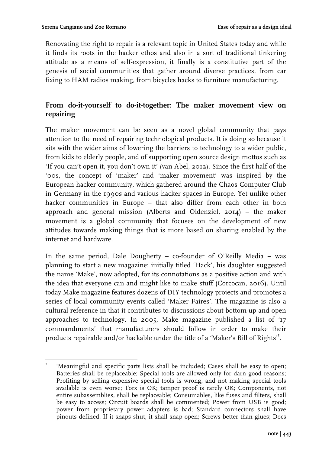Renovating the right to repair is a relevant topic in United States today and while it finds its roots in the hacker ethos and also in a sort of traditional tinkering attitude as a means of self-expression, it finally is a constitutive part of the genesis of social communities that gather around diverse practices, from car fixing to HAM radios making, from bicycles hacks to furniture manufacturing.

## **From do-it-yourself to do-it-together: The maker movement view on repairing**

The maker movement can be seen as a novel global community that pays attention to the need of repairing technological products. It is doing so because it sits with the wider aims of lowering the barriers to technology to a wider public, from kids to elderly people, and of supporting open source design mottos such as 'If you can't open it, you don't own it' (van Abel, 2012). Since the first half of the '00s, the concept of 'maker' and 'maker movement' was inspired by the European hacker community, which gathered around the Chaos Computer Club in Germany in the 1990s and various hacker spaces in Europe. Yet unlike other hacker communities in Europe – that also differ from each other in both approach and general mission (Alberts and Oldenziel, 2014) – the maker movement is a global community that focuses on the development of new attitudes towards making things that is more based on sharing enabled by the internet and hardware.

In the same period, Dale Dougherty – co-founder of O'Reilly Media – was planning to start a new magazine: initially titled 'Hack', his daughter suggested the name 'Make', now adopted, for its connotations as a positive action and with the idea that everyone can and might like to make stuff (Corcocan, 2016). Until today Make magazine features dozens of DIY technology projects and promotes a series of local community events called 'Maker Faires'. The magazine is also a cultural reference in that it contributes to discussions about bottom-up and open approaches to technology. In 2005, Make magazine published a list of '17 commandments' that manufacturers should follow in order to make their products repairable and/or hackable under the title of a 'Maker's Bill of Rights'<sup>I</sup>.

 'Meaningful and specific parts lists shall be included; Cases shall be easy to open; Batteries shall be replaceable; Special tools are allowed only for darn good reasons; Profiting by selling expensive special tools is wrong, and not making special tools available is even worse; Torx is OK; tamper proof is rarely OK; Components, not entire subassemblies, shall be replaceable; Consumables, like fuses and filters, shall be easy to access; Circuit boards shall be commented; Power from USB is good; power from proprietary power adapters is bad; Standard connectors shall have pinouts defined. If it snaps shut, it shall snap open; Screws better than glues; Docs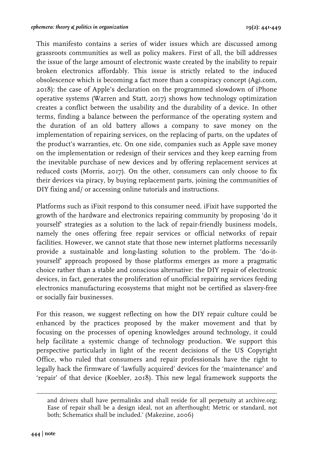This manifesto contains a series of wider issues which are discussed among grassroots communities as well as policy makers. First of all, the bill addresses the issue of the large amount of electronic waste created by the inability to repair broken electronics affordably. This issue is strictly related to the induced obsolescence which is becoming a fact more than a conspiracy concept (Agi.com, 2018): the case of Apple's declaration on the programmed slowdown of iPhone operative systems (Warren and Statt, 2017) shows how technology optimization creates a conflict between the usability and the durability of a device. In other terms, finding a balance between the performance of the operating system and the duration of an old battery allows a company to save money on the implementation of repairing services, on the replacing of parts, on the updates of the product's warranties, etc. On one side, companies such as Apple save money on the implementation or redesign of their services and they keep earning from the inevitable purchase of new devices and by offering replacement services at reduced costs (Morris, 2017). On the other, consumers can only choose to fix their devices via piracy, by buying replacement parts, joining the communities of DIY fixing and/ or accessing online tutorials and instructions.

Platforms such as iFixit respond to this consumer need. iFixit have supported the growth of the hardware and electronics repairing community by proposing 'do it yourself' strategies as a solution to the lack of repair-friendly business models, namely the ones offering free repair services or official networks of repair facilities. However, we cannot state that those new internet platforms necessarily provide a sustainable and long-lasting solution to the problem. The 'do-ityourself' approach proposed by those platforms emerges as more a pragmatic choice rather than a stable and conscious alternative: the DIY repair of electronic devices, in fact, generates the proliferation of unofficial repairing services feeding electronics manufacturing ecosystems that might not be certified as slavery-free or socially fair businesses.

For this reason, we suggest reflecting on how the DIY repair culture could be enhanced by the practices proposed by the maker movement and that by focusing on the processes of opening knowledges around technology, it could help facilitate a systemic change of technology production. We support this perspective particularly in light of the recent decisions of the US Copyright Office, who ruled that consumers and repair professionals have the right to legally hack the firmware of 'lawfully acquired' devices for the 'maintenance' and 'repair' of that device (Koebler, 2018). This new legal framework supports the

<u> Andrewski politika (za obrazu za obrazu za obrazu za obrazu za obrazu za obrazu za obrazu za obrazu za obrazu</u>

and drivers shall have permalinks and shall reside for all perpetuity at archive.org; Ease of repair shall be a design ideal, not an afterthought; Metric or standard, not both; Schematics shall be included.' (Makezine, 2006)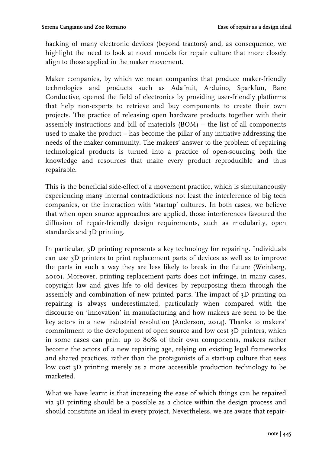hacking of many electronic devices (beyond tractors) and, as consequence, we highlight the need to look at novel models for repair culture that more closely align to those applied in the maker movement.

Maker companies, by which we mean companies that produce maker-friendly technologies and products such as Adafruit, Arduino, Sparkfun, Bare Conductive, opened the field of electronics by providing user-friendly platforms that help non-experts to retrieve and buy components to create their own projects. The practice of releasing open hardware products together with their assembly instructions and bill of materials (BOM) – the list of all components used to make the product – has become the pillar of any initiative addressing the needs of the maker community. The makers' answer to the problem of repairing technological products is turned into a practice of open-sourcing both the knowledge and resources that make every product reproducible and thus repairable.

This is the beneficial side-effect of a movement practice, which is simultaneously experiencing many internal contradictions not least the interference of big tech companies, or the interaction with 'startup' cultures. In both cases, we believe that when open source approaches are applied, those interferences favoured the diffusion of repair-friendly design requirements, such as modularity, open standards and 3D printing.

In particular, 3D printing represents a key technology for repairing. Individuals can use 3D printers to print replacement parts of devices as well as to improve the parts in such a way they are less likely to break in the future (Weinberg, 2010). Moreover, printing replacement parts does not infringe, in many cases, copyright law and gives life to old devices by repurposing them through the assembly and combination of new printed parts. The impact of 3D printing on repairing is always underestimated, particularly when compared with the discourse on 'innovation' in manufacturing and how makers are seen to be the key actors in a new industrial revolution (Anderson, 2014). Thanks to makers' commitment to the development of open source and low cost 3D printers, which in some cases can print up to 80% of their own components, makers rather become the actors of a new repairing age, relying on existing legal frameworks and shared practices, rather than the protagonists of a start-up culture that sees low cost 3D printing merely as a more accessible production technology to be marketed.

What we have learnt is that increasing the ease of which things can be repaired via 3D printing should be a possible as a choice within the design process and should constitute an ideal in every project. Nevertheless, we are aware that repair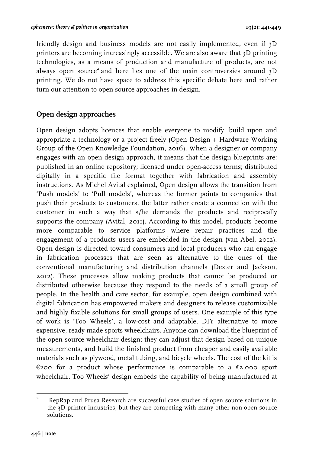friendly design and business models are not easily implemented, even if 3D printers are becoming increasingly accessible. We are also aware that 3D printing technologies, as a means of production and manufacture of products, are not always open source<sup>2</sup> and here lies one of the main controversies around  $3D$ printing. We do not have space to address this specific debate here and rather turn our attention to open source approaches in design.

#### **Open design approaches**

Open design adopts licences that enable everyone to modify, build upon and appropriate a technology or a project freely (Open Design + Hardware Working Group of the Open Knowledge Foundation, 2016). When a designer or company engages with an open design approach, it means that the design blueprints are: published in an online repository; licensed under open-access terms; distributed digitally in a specific file format together with fabrication and assembly instructions. As Michel Avital explained, Open design allows the transition from 'Push models' to 'Pull models', whereas the former points to companies that push their products to customers, the latter rather create a connection with the customer in such a way that s/he demands the products and reciprocally supports the company (Avital, 2011). According to this model, products become more comparable to service platforms where repair practices and the engagement of a products users are embedded in the design (van Abel, 2012). Open design is directed toward consumers and local producers who can engage in fabrication processes that are seen as alternative to the ones of the conventional manufacturing and distribution channels (Dexter and Jackson, 2012). These processes allow making products that cannot be produced or distributed otherwise because they respond to the needs of a small group of people. In the health and care sector, for example, open design combined with digital fabrication has empowered makers and designers to release customizable and highly fixable solutions for small groups of users. One example of this type of work is 'Too Wheels', a low-cost and adaptable, DIY alternative to more expensive, ready-made sports wheelchairs. Anyone can download the blueprint of the open source wheelchair design; they can adjust that design based on unique measurements, and build the finished product from cheaper and easily available materials such as plywood, metal tubing, and bicycle wheels. The cost of the kit is  $\epsilon$ 200 for a product whose performance is comparable to a  $\epsilon$ 2,000 sport wheelchair. Too Wheels' design embeds the capability of being manufactured at

 2 RepRap and Prusa Research are successful case studies of open source solutions in the 3D printer industries, but they are competing with many other non-open source solutions.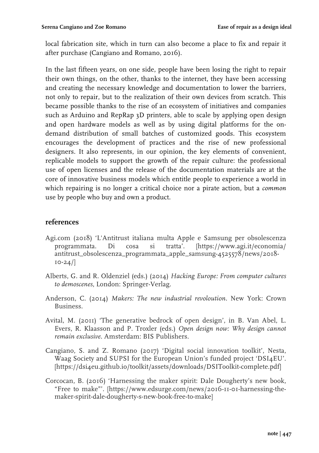local fabrication site, which in turn can also become a place to fix and repair it after purchase (Cangiano and Romano, 2016).

In the last fifteen years, on one side, people have been losing the right to repair their own things, on the other, thanks to the internet, they have been accessing and creating the necessary knowledge and documentation to lower the barriers, not only to repair, but to the realization of their own devices from scratch. This became possible thanks to the rise of an ecosystem of initiatives and companies such as Arduino and RepRap 3D printers, able to scale by applying open design and open hardware models as well as by using digital platforms for the ondemand distribution of small batches of customized goods. This ecosystem encourages the development of practices and the rise of new professional designers. It also represents, in our opinion, the key elements of convenient, replicable models to support the growth of the repair culture: the professional use of open licenses and the release of the documentation materials are at the core of innovative business models which entitle people to experience a world in which repairing is no longer a critical choice nor a pirate action, but a *common* use by people who buy and own a product.

#### **references**

- Agi.com (2018) 'L'Antitrust italiana multa Apple e Samsung per obsolescenza programmata. Di cosa si tratta'. [https://www.agi.it/economia/ antitrust\_obsolescenza\_programmata\_apple\_samsung-4525578/news/2018- 10-24/]
- Alberts, G. and R. Oldenziel (eds.) (2014) *Hacking Europe: From computer cultures to demoscenes*, London: Springer-Verlag.
- Anderson, C. (2014) *Makers: The new industrial revoloution.* New York: Crown Business.
- Avital, M. (2011) 'The generative bedrock of open design', in B. Van Abel, L. Evers, R. Klaasson and P. Troxler (eds.) *Open design now: Why design cannot remain exclusive*. Amsterdam: BIS Publishers.
- Cangiano, S. and Z. Romano (2017) 'Digital social innovation toolkit', Nesta, Waag Society and SUPSI for the European Union's funded project 'DSI4EU'. [https://dsi4eu.github.io/toolkit/assets/downloads/DSIToolkit-complete.pdf]
- Corcocan, B. (2016) 'Harnessing the maker spirit: Dale Dougherty's new book, "Free to make"'. [https://www.edsurge.com/news/2016-11-01-harnessing-themaker-spirit-dale-dougherty-s-new-book-free-to-make]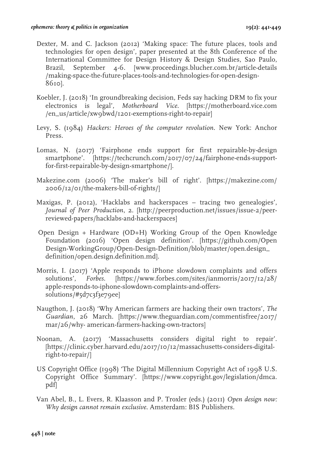- Dexter, M. and C. Jackson (2012) 'Making space: The future places, tools and technologies for open design', paper presented at the 8th Conference of the International Committee for Design History & Design Studies, Sao Paulo, Brazil, September 4-6. [www.proceedings.blucher.com.br/article-details /making-space-the-future-places-tools-and-technologies-for-open-design-8610].
- Koebler, J. (2018) 'In groundbreaking decision, Feds say hacking DRM to fix your electronics is legal', *Motherboard Vice*. [https://motherboard.vice.com /en\_us/article/xw9bwd/1201-exemptions-right-to-repair]
- Levy, S. (1984) *Hackers: Heroes of the computer revolution*. New York: Anchor Press.
- Lomas, N. (2017) 'Fairphone ends support for first repairable-by-design smartphone'. [https://techcrunch.com/2017/07/24/fairphone-ends-supportfor-first-repairable-by-design-smartphone/].
- Makezine.com (2006) 'The maker's bill of right'. [https://makezine.com/ 2006/12/01/the-makers-bill-of-rights/]
- Maxigas, P. (2012), 'Hacklabs and hackerspaces tracing two genealogies', *Journal of Peer Production*, 2. [http://peerproduction.net/issues/issue-2/peerreviewed-papers/hacklabs-and-hackerspaces]
- Open Design + Hardware (OD+H) Working Group of the Open Knowledge Foundation (2016) 'Open design definition'. [https://github.com/Open Design-WorkingGroup/Open-Design-Definition/blob/master/open.design\_ definition/open.design.definition.md].
- Morris, I. (2017) 'Apple responds to iPhone slowdown complaints and offers solutions', *Forbes*. [https://www.forbes.com/sites/ianmorris/2017/12/28/ apple-responds-to-iphone-slowdown-complaints-and-offerssolutions/#5d7c3f3e79ee]
- Naugthon, J. (2018) 'Why American farmers are hacking their own tractors', *The Guardian*, 26 March. [https://www.theguardian.com/commentisfree/2017/ mar/26/why- american-farmers-hacking-own-tractors]
- Noonan, A. (2017) 'Massachusetts considers digital right to repair'. [https://clinic.cyber.harvard.edu/2017/10/12/massachusetts-considers-digitalright-to-repair/]
- US Copyright Office (1998) 'The Digital Millennium Copyright Act of 1998 U.S. Copyright Office Summary'. [https://www.copyright.gov/legislation/dmca. pdf]
- Van Abel, B., L. Evers, R. Klaasson and P. Troxler (eds.) (2011) *Open design now: Why design cannot remain exclusive*. Amsterdam: BIS Publishers.